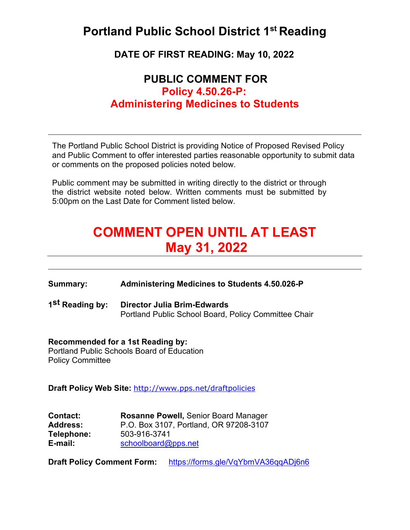### **Portland Public School District 1st Reading**

**DATE OF FIRST READING: May 10, 2022**

### **PUBLIC COMMENT FOR Policy 4.50.26-P: Administering Medicines to Students**

The Portland Public School District is providing Notice of Proposed Revised Policy and Public Comment to offer interested parties reasonable opportunity to submit data or comments on the proposed policies noted below.

Public comment may be submitted in writing directly to the district or through the district website noted below. Written comments must be submitted by 5:00pm on the Last Date for Comment listed below.

# **COMMENT OPEN UNTIL AT LEAST May 31, 2022**

**Summary: Administering Medicines to Students 4.50.026-P**

**1st Reading by: Director Julia Brim-Edwards** Portland Public School Board, Policy Committee Chair

#### **Recommended for a 1st Reading by:**

Portland Public Schools Board of Education Policy Committee

**Draft Policy Web Site:** <http://www.pps.net/draftpolicies>

| <b>Contact:</b> | <b>Rosanne Powell, Senior Board Manager</b> |
|-----------------|---------------------------------------------|
| <b>Address:</b> | P.O. Box 3107, Portland, OR 97208-3107      |
| Telephone:      | 503-916-3741                                |
| E-mail:         | schoolboard@pps.net                         |

**Draft Policy Comment Form:** https://forms.gle[/VqYbmVA36qqADj6n6](https://forms.gle/VqYbmVA36qqADj6n6)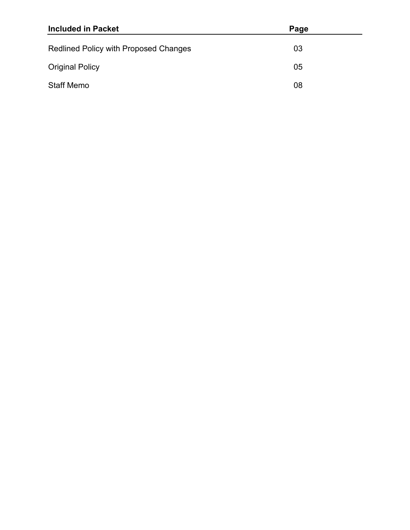| <b>Included in Packet</b>             | Page |
|---------------------------------------|------|
| Redlined Policy with Proposed Changes | 03   |
| <b>Original Policy</b>                | 05   |
| <b>Staff Memo</b>                     | 08   |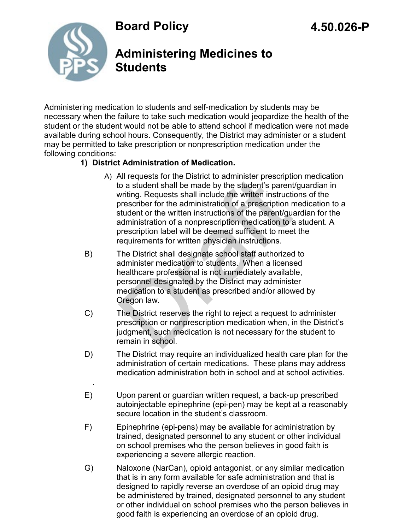**Board Policy** 



.

### **Administering Medicines to Students**

Administering medication to students and self-medication by students may be necessary when the failure to take such medication would jeopardize the health of the student or the student would not be able to attend school if medication were not made available during school hours. Consequently, the District may administer or a student may be permitted to take prescription or nonprescription medication under the following conditions:

### **1) District Administration of Medication.**

- A) All requests for the District to administer prescription medication to a student shall be made by the student's parent/guardian in writing. Requests shall include the written instructions of the prescriber for the administration of a prescription medication to a student or the written instructions of the parent/guardian for the administration of a nonprescription medication to a student. A prescription label will be deemed sufficient to meet the requirements for written physician instructions. All requests for the District to administer prescription<br>is a student shall be made by the student's parent<br>writing. Requests shall include the written instruction<br>rescriber for the administration of a prescription r<br>stude
- B) The District shall designate school staff authorized to administer medication to students. When a licensed healthcare professional is not immediately available, personnel designated by the District may administer medication to a student as prescribed and/or allowed by Oregon law.
- C) The District reserves the right to reject a request to administer prescription or nonprescription medication when, in the District's judgment, such medication is not necessary for the student to remain in school.
- D) The District may require an individualized health care plan for the administration of certain medications. These plans may address medication administration both in school and at school activities.
- E) Upon parent or guardian written request, a back-up prescribed autoinjectable epinephrine (epi-pen) may be kept at a reasonably secure location in the student's classroom.
- F) Epinephrine (epi-pens) may be available for administration by trained, designated personnel to any student or other individual on school premises who the person believes in good faith is experiencing a severe allergic reaction.
- G) Naloxone (NarCan), opioid antagonist, or any similar medication that is in any form available for safe administration and that is designed to rapidly reverse an overdose of an opioid drug may be administered by trained, designated personnel to any student or other individual on school premises who the person believes in good faith is experiencing an overdose of an opioid drug.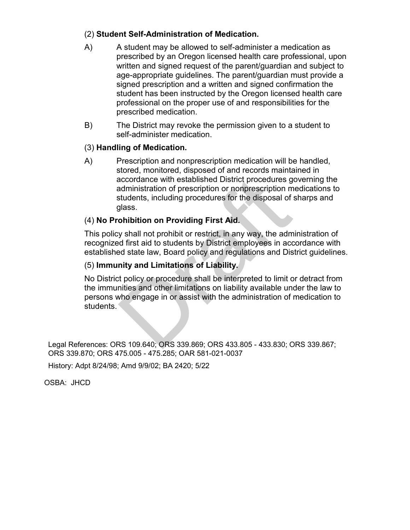### (2) **Student Self-Administration of Medication.**

- A) A student may be allowed to self-administer a medication as prescribed by an Oregon licensed health care professional, upon written and signed request of the parent/guardian and subject to age-appropriate guidelines. The parent/guardian must provide a signed prescription and a written and signed confirmation the student has been instructed by the Oregon licensed health care professional on the proper use of and responsibilities for the prescribed medication.
- B) The District may revoke the permission given to a student to self-administer medication.

### (3) **Handling of Medication.**

A) Prescription and nonprescription medication will be handled, stored, monitored, disposed of and records maintained in accordance with established District procedures governing the administration of prescription or nonprescription medications to students, including procedures for the disposal of sharps and glass. accordance with established District procedures g<br>administration of prescription or nonprescription m<br>students, including procedures for the disposal of a<br>glass.<br>**ohibition on Providing First Aid.**<br>y shall not prohibit or

### (4) **No Prohibition on Providing First Aid.**

This policy shall not prohibit or restrict, in any way, the administration of recognized first aid to students by District employees in accordance with established state law, Board policy and regulations and District guidelines.

#### (5) **Immunity and Limitations of Liability.**

No District policy or procedure shall be interpreted to limit or detract from the immunities and other limitations on liability available under the law to persons who engage in or assist with the administration of medication to students.

Legal References: ORS 109.640; ORS 339.869; ORS 433.805 - 433.830; ORS 339.867; ORS 339.870; ORS 475.005 - 475.285; OAR 581-021-0037

History: Adpt 8/24/98; Amd 9/9/02; BA 2420; 5/22

OSBA: JHCD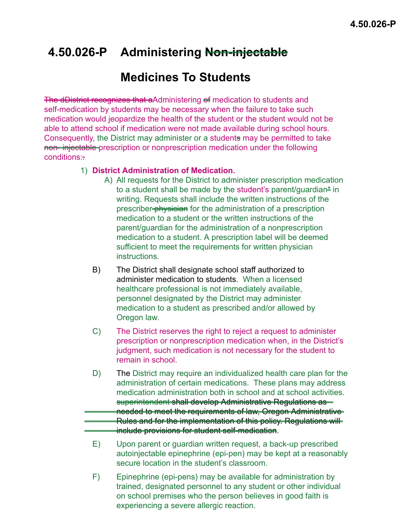## **4.50.026-P Administering Non-injectable**

### **Medicines To Students**

The dDistrict recognizes that aAdministering of medication to students and self-medication by students may be necessary when the failure to take such medication would jeopardize the health of the student or the student would not be able to attend school if medication were not made available during school hours. Consequently, the District may administer or a students may be permitted to take non- injectable prescription or nonprescription medication under the following conditions:

### 1) **District Administration of Medication.**

- A) All requests for the District to administer prescription medication to a student shall be made by the student's parent/quardian<sup>\*</sup> in writing. Requests shall include the written instructions of the prescriber-physician for the administration of a prescription medication to a student or the written instructions of the parent/guardian for the administration of a nonprescription medication to a student. A prescription label will be deemed sufficient to meet the requirements for written physician **instructions**
- B) The District shall designate school staff authorized to administer medication to students. When a licensed healthcare professional is not immediately available, personnel designated by the District may administer medication to a student as prescribed and/or allowed by Oregon law.
- C) The District reserves the right to reject a request to administer prescription or nonprescription medication when, in the District's judgment, such medication is not necessary for the student to remain in school.
- D) The District may require an individualized health care plan for the administration of certain medications. These plans may address medication administration both in school and at school activities. superintendent shall develop Administrative Regulations as needed to meet the requirements of law, Oregon Administrative Rules and for the implementation of this policy. Regulations will include provisions for student self-medication.
- E) Upon parent or guardian written request, a back-up prescribed autoinjectable epinephrine (epi-pen) may be kept at a reasonably secure location in the student's classroom.
- F) Epinephrine (epi-pens) may be available for administration by trained, designated personnel to any student or other individual on school premises who the person believes in good faith is experiencing a severe allergic reaction.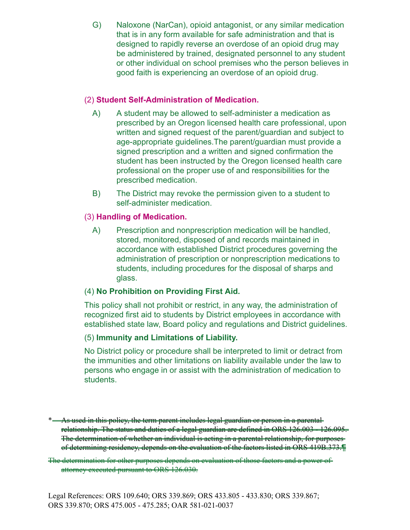G) Naloxone (NarCan), opioid antagonist, or any similar medication that is in any form available for safe administration and that is designed to rapidly reverse an overdose of an opioid drug may be administered by trained, designated personnel to any student or other individual on school premises who the person believes in good faith is experiencing an overdose of an opioid drug.

### (2) **Student Self-Administration of Medication.**

- A) A student may be allowed to self-administer a medication as prescribed by an Oregon licensed health care professional, upon written and signed request of the parent/guardian and subject to age-appropriate guidelines.The parent/guardian must provide a signed prescription and a written and signed confirmation the student has been instructed by the Oregon licensed health care professional on the proper use of and responsibilities for the prescribed medication.
- B) The District may revoke the permission given to a student to self-administer medication.

### (3) **Handling of Medication.**

A) Prescription and nonprescription medication will be handled, stored, monitored, disposed of and records maintained in accordance with established District procedures governing the administration of prescription or nonprescription medications to students, including procedures for the disposal of sharps and glass.

### (4) **No Prohibition on Providing First Aid.**

This policy shall not prohibit or restrict, in any way, the administration of recognized first aid to students by District employees in accordance with established state law, Board policy and regulations and District guidelines.

#### (5) **Immunity and Limitations of Liability.**

No District policy or procedure shall be interpreted to limit or detract from the immunities and other limitations on liability available under the law to persons who engage in or assist with the administration of medication to students.

The determination for other purposes depends on evaluation of those factors and a power of attorney executed pursuant to ORS 126.030.

<sup>\*</sup> As used in this policy, the term parent includes legal guardian or person in a parental relationship. The status and duties of a legal guardian are defined in ORS 126.003 - 126.095. The determination of whether an individual is acting in a parental relationship, for purposes of determining residency, depends on the evaluation of the factors listed in ORS 419B.373.¶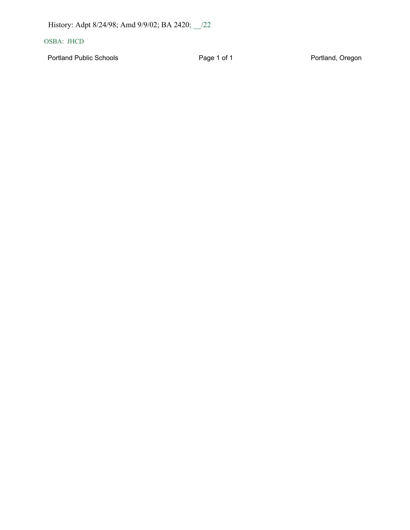History: Adpt 8/24/98; Amd 9/9/02; BA 2420; \_\_/22

#### OSBA: JHCD

Portland Public Schools **Page 1 of 1** Page 1 of 1 Portland, Oregon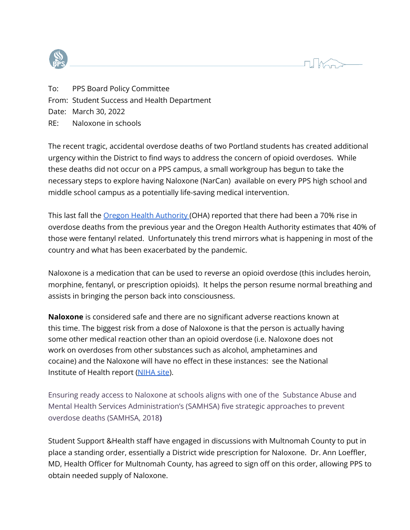



To: PPS Board Policy Committee From: Student Success and Health Department Date: March 30, 2022 RE: Naloxone in schools

The recent tragic, accidental overdose deaths of two Portland students has created additional urgency within the District to find ways to address the concern of opioid overdoses. While these deaths did not occur on a PPS campus, a small workgroup has begun to take the necessary steps to explore having Naloxone (NarCan) available on every PPS high school and middle school campus as a potentially life-saving medical intervention.

This last fall the <u>Oregon Health [Authority](https://www.oregon.gov/oha/ERD/Pages/OHA-sees-70-percent-increase-in-Oregon-opioid-deaths-during-April-May.aspx) (</u>OHA) reported that there had been a 70% rise in overdose deaths from the previous year and the Oregon Health Authority estimates that 40% of those were fentanyl related. Unfortunately this trend mirrors what is happening in most of the country and what has been exacerbated by the pandemic.

Naloxone is a medication that can be used to reverse an opioid overdose (this includes heroin, morphine, fentanyl, or prescription opioids). It helps the person resume normal breathing and assists in bringing the person back into consciousness.

**Naloxone** is considered safe and there are no significant adverse reactions known at this time. The biggest risk from a dose of Naloxone is that the person is actually having some other medical reaction other than an opioid overdose (i.e. Naloxone does not work on overdoses from other substances such as alcohol, amphetamines and cocaine) and the Naloxone will have no effect in these instances: see the National Institute of Health report ([NIHA](https://nida.nih.gov/publications/naloxone-opioid-overdose-life-saving-science) site).

Ensuring ready access to Naloxone at schools aligns with one of the Substance Abuse and Mental Health Services Administration's (SAMHSA) five strategic approaches to prevent overdose deaths (SAMHSA, 2018**)**

Student Support &Health staff have engaged in discussions with Multnomah County to put in place a standing order, essentially a District wide prescription for Naloxone. Dr. Ann Loeffler, MD, Health Officer for Multnomah County, has agreed to sign off on this order, allowing PPS to obtain needed supply of Naloxone.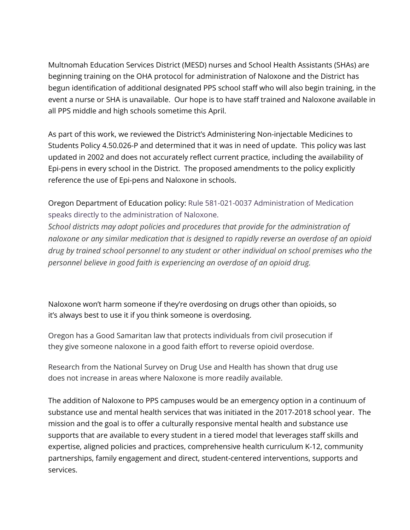Multnomah Education Services District (MESD) nurses and School Health Assistants (SHAs) are beginning training on the OHA protocol for administration of Naloxone and the District has begun identification of additional designated PPS school staff who will also begin training, in the event a nurse or SHA is unavailable. Our hope is to have staff trained and Naloxone available in all PPS middle and high schools sometime this April.

As part of this work, we reviewed the District's Administering Non-injectable Medicines to Students Policy 4.50.026-P and determined that it was in need of update. This policy was last updated in 2002 and does not accurately reflect current practice, including the availability of Epi-pens in every school in the District. The proposed amendments to the policy explicitly reference the use of Epi-pens and Naloxone in schools.

Oregon Department of Education policy: Rule 581-021-0037 Administration of Medication speaks directly to the administration of Naloxone.

*School districts may adopt policies and procedures that provide for the administration of naloxone or any similar medication that is designed to rapidly reverse an overdose of an opioid drug by trained school personnel to any student or other individual on school premises who the personnel believe in good faith is experiencing an overdose of an opioid drug.*

Naloxone won't harm someone if they're overdosing on drugs other than opioids, so it's always best to use it if you think someone is overdosing.

Oregon has a Good Samaritan law that protects individuals from civil prosecution if they give someone naloxone in a good faith effort to reverse opioid overdose.

Research from the National Survey on Drug Use and Health has shown that drug use does not increase in areas where Naloxone is more readily available.

The addition of Naloxone to PPS campuses would be an emergency option in a continuum of substance use and mental health services that was initiated in the 2017-2018 school year. The mission and the goal is to offer a culturally responsive mental health and substance use supports that are available to every student in a tiered model that leverages staff skills and expertise, aligned policies and practices, comprehensive health curriculum K-12, community partnerships, family engagement and direct, student-centered interventions, supports and services.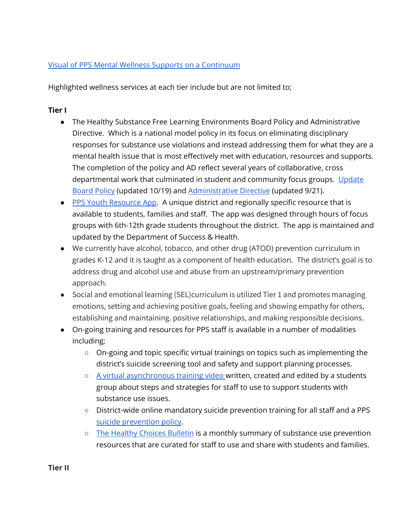### Visual of PPS Mental Wellness Supports on a [Continuum](https://docs.google.com/drawings/d/1cAt0Id6HnEttYigNmdDbXMhhhuYzla9CDDzDFElqk8U/edit?usp=sharing)

Highlighted wellness services at each tier include but are not limited to;

### **Tier I**

- The Healthy Substance Free Learning Environments Board Policy and Administrative Directive. Which is a national model policy in its focus on eliminating disciplinary responses for substance use violations and instead addressing them for what they are a mental health issue that is most effectively met with education, resources and supports. The completion of the policy and AD reflect several years of collaborative, cross departmental work that culminated in student and community focus groups. [Update](https://www.pps.net/cms/lib/OR01913224/Centricity/Domain/4814/4.30.023-P.pdf) [Board](https://www.pps.net/cms/lib/OR01913224/Centricity/Domain/4814/4.30.023-P.pdf) Policy (updated 10/19) and [Administrative Directive](https://www.pps.net/cms/lib/OR01913224/Centricity/Domain/4814/4.30.022-AD.pdf) (updated 9/21).
- PPS Youth [Resource App.](https://youthresourceapp.com/) A unique district and regionally specific resource that is available to students, families and staff. The app was designed through hours of focus groups with 6th-12th grade students throughout the district. The app is maintained and updated by the Department of Success & Health.
- We currently have alcohol, tobacco, and other drug (ATOD) prevention curriculum in grades K-12 and it is taught as a component of health education. The district's goal is to address drug and alcohol use and abuse from an upstream/primary prevention approach.
- Social and emotional learning (SEL)curriculum is utilized Tier 1 and promotes managing emotions, setting and achieving positive goals, feeling and showing empathy for others, establishing and maintaining. positive relationships, and making responsible decisions.
- On-going training and resources for PPS staff is available in a number of modalities including;
	- On-going and topic specific virtual trainings on topics such as implementing the district's suicide screening tool and safety and support planning processes.
	- A virtual [asynchronous](https://www.youtube.com/watch?v=z7swCRVtXJY) training video written, created and edited by a students group about steps and strategies for staff to use to support students with substance use issues.
	- District-wide online mandatory suicide prevention training for all staff and a PPS [suicide prevention](https://www.pps.net/cms/lib/OR01913224/Centricity/Domain/4814/4.30.050-P.pdf) policy.
	- o [The Healthy](https://docs.google.com/document/d/1wPdkp09affEHIaJW-oyPTjEd-dsl1ppbDDgPF7Zp-no/) Choices Bulletin is a monthly summary of substance use prevention resources that are curated for staff to use and share with students and families.

**Tier II**